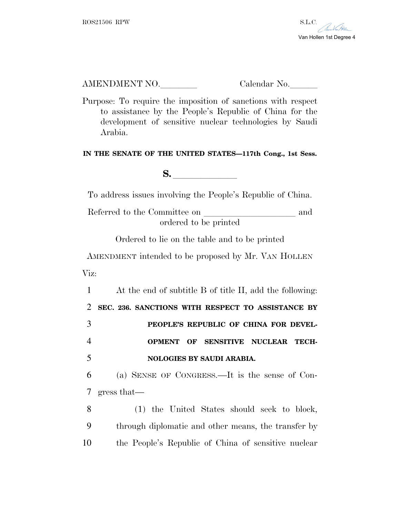

## AMENDMENT NO. Calendar No.

Purpose: To require the imposition of sanctions with respect to assistance by the People's Republic of China for the development of sensitive nuclear technologies by Saudi Arabia.

## **IN THE SENATE OF THE UNITED STATES—117th Cong., 1st Sess.**

**S.** <u>letter</u> and **letter**  $\frac{1}{2}$ 

To address issues involving the People's Republic of China.

Referred to the Committee on and ordered to be printed

Ordered to lie on the table and to be printed

AMENDMENT intended to be proposed by Mr. VAN HOLLEN Viz:

 At the end of subtitle B of title II, add the following: **SEC. 236. SANCTIONS WITH RESPECT TO ASSISTANCE BY PEOPLE'S REPUBLIC OF CHINA FOR DEVEL- OPMENT OF SENSITIVE NUCLEAR TECH-NOLOGIES BY SAUDI ARABIA.**

6 (a) SENSE OF CONGRESS.—It is the sense of Con-7 gress that—

8 (1) the United States should seek to block, 9 through diplomatic and other means, the transfer by 10 the People's Republic of China of sensitive nuclear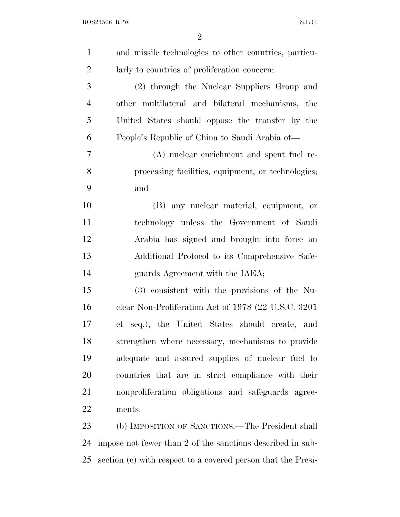| $\mathbf{1}$   | and missile technologies to other countries, particu-        |
|----------------|--------------------------------------------------------------|
| $\overline{2}$ | larly to countries of proliferation concern;                 |
| 3              | (2) through the Nuclear Suppliers Group and                  |
| $\overline{4}$ | other multilateral and bilateral mechanisms, the             |
| 5              | United States should oppose the transfer by the              |
| 6              | People's Republic of China to Saudi Arabia of—               |
| 7              | (A) nuclear enrichment and spent fuel re-                    |
| 8              | processing facilities, equipment, or technologies;           |
| 9              | and                                                          |
| 10             | (B) any nuclear material, equipment, or                      |
| 11             | technology unless the Government of Saudi                    |
| 12             | Arabia has signed and brought into force an                  |
| 13             | Additional Protocol to its Comprehensive Safe-               |
| 14             | guards Agreement with the IAEA;                              |
| 15             | (3) consistent with the provisions of the Nu-                |
| 16             | clear Non-Proliferation Act of 1978 (22 U.S.C. 3201)         |
| 17             | et seq.), the United States should create, and               |
| 18             | strengthen where necessary, mechanisms to provide            |
| 19             | adequate and assured supplies of nuclear fuel to             |
| 20             | countries that are in strict compliance with their           |
| 21             | nonproliferation obligations and safeguards agree-           |
| 22             | ments.                                                       |
| 23             | (b) IMPOSITION OF SANCTIONS.—The President shall             |
| 24             | impose not fewer than 2 of the sanctions described in sub-   |
| 25             | section (c) with respect to a covered person that the Presi- |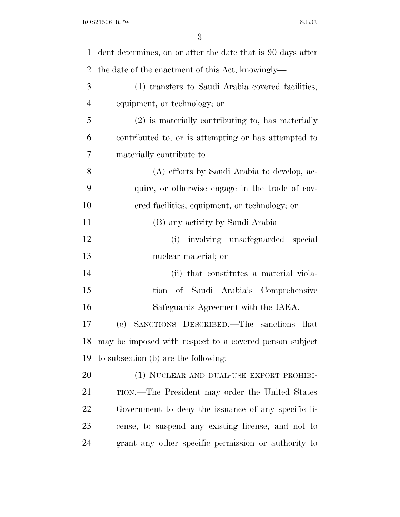| 1              | dent determines, on or after the date that is 90 days after |
|----------------|-------------------------------------------------------------|
| $\overline{2}$ | the date of the enactment of this Act, knowingly—           |
| 3              | (1) transfers to Saudi Arabia covered facilities,           |
| $\overline{4}$ | equipment, or technology; or                                |
| 5              | (2) is materially contributing to, has materially           |
| 6              | contributed to, or is attempting or has attempted to        |
| 7              | materially contribute to-                                   |
| 8              | (A) efforts by Saudi Arabia to develop, ac-                 |
| 9              | quire, or otherwise engage in the trade of cov-             |
| 10             | ered facilities, equipment, or technology; or               |
| 11             | (B) any activity by Saudi Arabia—                           |
| 12             | (i) involving unsafeguarded special                         |
| 13             | nuclear material; or                                        |
| 14             | (ii) that constitutes a material viola-                     |
| 15             | of Saudi Arabia's Comprehensive<br>tion                     |
| 16             | Safeguards Agreement with the IAEA.                         |
| 17             | (c) SANCTIONS DESCRIBED.—The sanctions that                 |
|                | 18 may be imposed with respect to a covered person subject  |
| 19             | to subsection (b) are the following:                        |
| 20             | (1) NUCLEAR AND DUAL-USE EXPORT PROHIBI-                    |
| 21             | TION.—The President may order the United States             |
| 22             | Government to deny the issuance of any specific li-         |
| 23             | cense, to suspend any existing license, and not to          |
| 24             | grant any other specific permission or authority to         |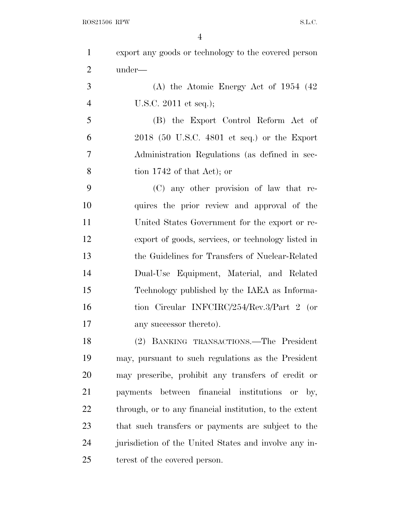|                | $\overline{4}$                                          |
|----------------|---------------------------------------------------------|
| $\mathbf{1}$   | export any goods or technology to the covered person    |
| $\overline{2}$ | under—                                                  |
| 3              | $(A)$ the Atomic Energy Act of 1954 $(42)$              |
| $\overline{4}$ | U.S.C. $2011$ et seq.);                                 |
| 5              | (B) the Export Control Reform Act of                    |
| 6              | $2018$ (50 U.S.C. 4801 et seq.) or the Export           |
| 7              | Administration Regulations (as defined in sec-          |
| 8              | tion $1742$ of that Act); or                            |
| 9              | (C) any other provision of law that re-                 |
| 10             | quires the prior review and approval of the             |
| 11             | United States Government for the export or re-          |
| 12             | export of goods, services, or technology listed in      |
| 13             | the Guidelines for Transfers of Nuclear-Related         |
| 14             | Dual-Use Equipment, Material, and Related               |
| 15             | Technology published by the IAEA as Informa-            |
| 16             | tion Circular INFCIRC/254/Rev.3/Part 2 (or              |
| 17             | any successor thereto).                                 |
| 18             | (2) BANKING TRANSACTIONS.—The President                 |
| 19             | may, pursuant to such regulations as the President      |
| 20             | may prescribe, prohibit any transfers of credit or      |
| 21             | payments between financial institutions<br>or by,       |
| 22             | through, or to any financial institution, to the extent |
| 23             | that such transfers or payments are subject to the      |

jurisdiction of the United States and involve any in-

terest of the covered person.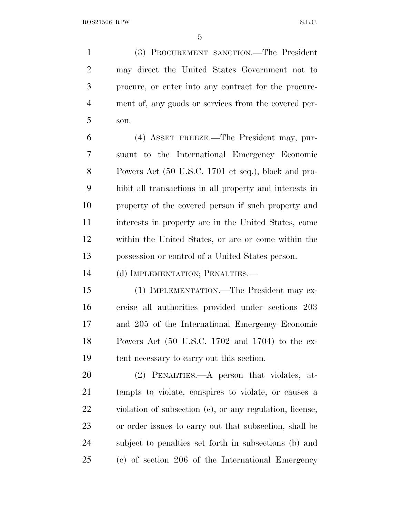(3) PROCUREMENT SANCTION.—The President may direct the United States Government not to procure, or enter into any contract for the procure- ment of, any goods or services from the covered per-son.

 (4) ASSET FREEZE.—The President may, pur- suant to the International Emergency Economic Powers Act (50 U.S.C. 1701 et seq.), block and pro- hibit all transactions in all property and interests in property of the covered person if such property and interests in property are in the United States, come within the United States, or are or come within the possession or control of a United States person.

(d) IMPLEMENTATION; PENALTIES.—

 (1) IMPLEMENTATION.—The President may ex- ercise all authorities provided under sections 203 and 205 of the International Emergency Economic Powers Act (50 U.S.C. 1702 and 1704) to the ex-tent necessary to carry out this section.

 (2) PENALTIES.—A person that violates, at- tempts to violate, conspires to violate, or causes a violation of subsection (c), or any regulation, license, or order issues to carry out that subsection, shall be subject to penalties set forth in subsections (b) and (c) of section 206 of the International Emergency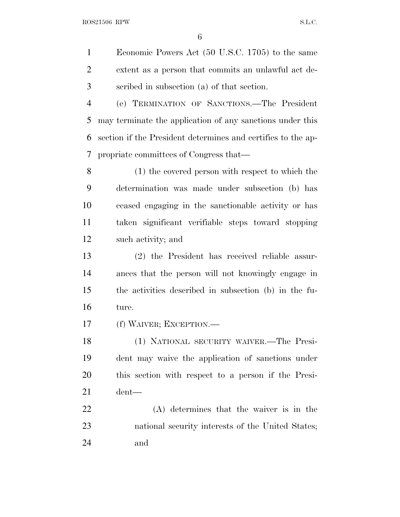Economic Powers Act (50 U.S.C. 1705) to the same extent as a person that commits an unlawful act de-scribed in subsection (a) of that section.

 (e) TERMINATION OF SANCTIONS.—The President may terminate the application of any sanctions under this section if the President determines and certifies to the ap-propriate committees of Congress that—

 (1) the covered person with respect to which the determination was made under subsection (b) has ceased engaging in the sanctionable activity or has taken significant verifiable steps toward stopping such activity; and

 (2) the President has received reliable assur- ances that the person will not knowingly engage in the activities described in subsection (b) in the fu-ture.

(f) WAIVER; EXCEPTION.—

 (1) NATIONAL SECURITY WAIVER.—The Presi- dent may waive the application of sanctions under this section with respect to a person if the Presi-dent—

 (A) determines that the waiver is in the national security interests of the United States; and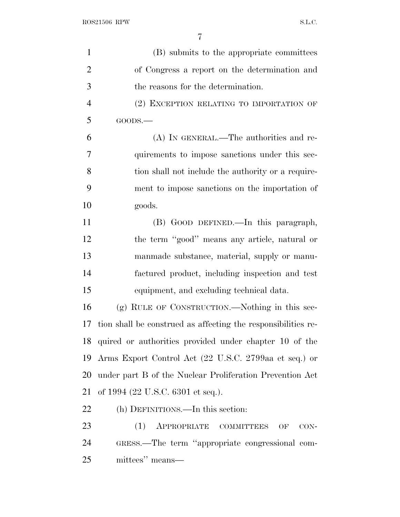| $\mathbf{1}$   | (B) submits to the appropriate committees                     |
|----------------|---------------------------------------------------------------|
| $\overline{2}$ | of Congress a report on the determination and                 |
| 3              | the reasons for the determination.                            |
| $\overline{4}$ | (2) EXCEPTION RELATING TO IMPORTATION OF                      |
| 5              | GOODS.                                                        |
| 6              | (A) IN GENERAL.—The authorities and re-                       |
| 7              | quirements to impose sanctions under this sec-                |
| 8              | tion shall not include the authority or a require-            |
| 9              | ment to impose sanctions on the importation of                |
| 10             | goods.                                                        |
| 11             | (B) GOOD DEFINED.—In this paragraph,                          |
| 12             | the term "good" means any article, natural or                 |
| 13             | manmade substance, material, supply or manu-                  |
| 14             | factured product, including inspection and test               |
| 15             | equipment, and excluding technical data.                      |
| 16             | $(g)$ RULE OF CONSTRUCTION.—Nothing in this sec-              |
| 17             | tion shall be construed as affecting the responsibilities re- |
|                | 18 quired or authorities provided under chapter 10 of the     |
| 19             | Arms Export Control Act (22 U.S.C. 2799aa et seq.) or         |
| 20             | under part B of the Nuclear Proliferation Prevention Act      |
| 21             | of 1994 (22 U.S.C. 6301 et seq.).                             |
| 22             | (h) DEFINITIONS.—In this section:                             |
| 23             | APPROPRIATE COMMITTEES<br>(1)<br>OF<br>$CON-$                 |
| 24             | GRESS.—The term "appropriate congressional com-               |
| 25             | mittees" means—                                               |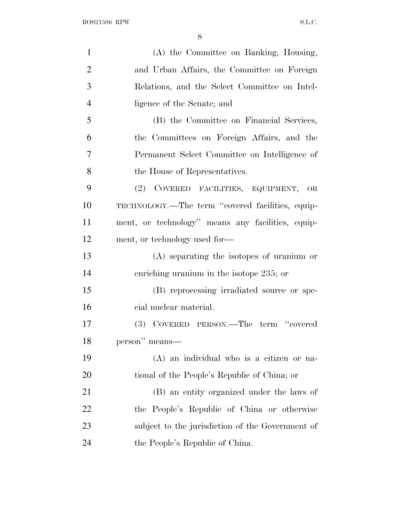| $\mathbf{1}$   | (A) the Committee on Banking, Housing,            |
|----------------|---------------------------------------------------|
| $\overline{2}$ | and Urban Affairs, the Committee on Foreign       |
| 3              | Relations, and the Select Committee on Intel-     |
| $\overline{4}$ | ligence of the Senate; and                        |
| 5              | (B) the Committee on Financial Services,          |
| 6              | the Committees on Foreign Affairs, and the        |
| 7              | Permanent Select Committee on Intelligence of     |
| 8              | the House of Representatives.                     |
| 9              | (2) COVERED FACILITIES, EQUIPMENT, OR             |
| 10             | TECHNOLOGY.—The term "covered facilities, equip-  |
| 11             | ment, or technology" means any facilities, equip- |
| 12             | ment, or technology used for-                     |
| 13             | $(A)$ separating the isotopes of uranium or       |
| 14             | enriching uranium in the isotope 235; or          |
| 15             | (B) reprocessing irradiated source or spe-        |
| 16             | cial nuclear material.                            |
| 17             | (3) COVERED PERSON.—The term "covered             |
| 18             | person" means—                                    |
| 19             | (A) an individual who is a citizen or na-         |
| 20             | tional of the People's Republic of China; or      |
| 21             | (B) an entity organized under the laws of         |
| 22             | the People's Republic of China or otherwise       |
| 23             | subject to the jurisdiction of the Government of  |
| 24             | the People's Republic of China.                   |